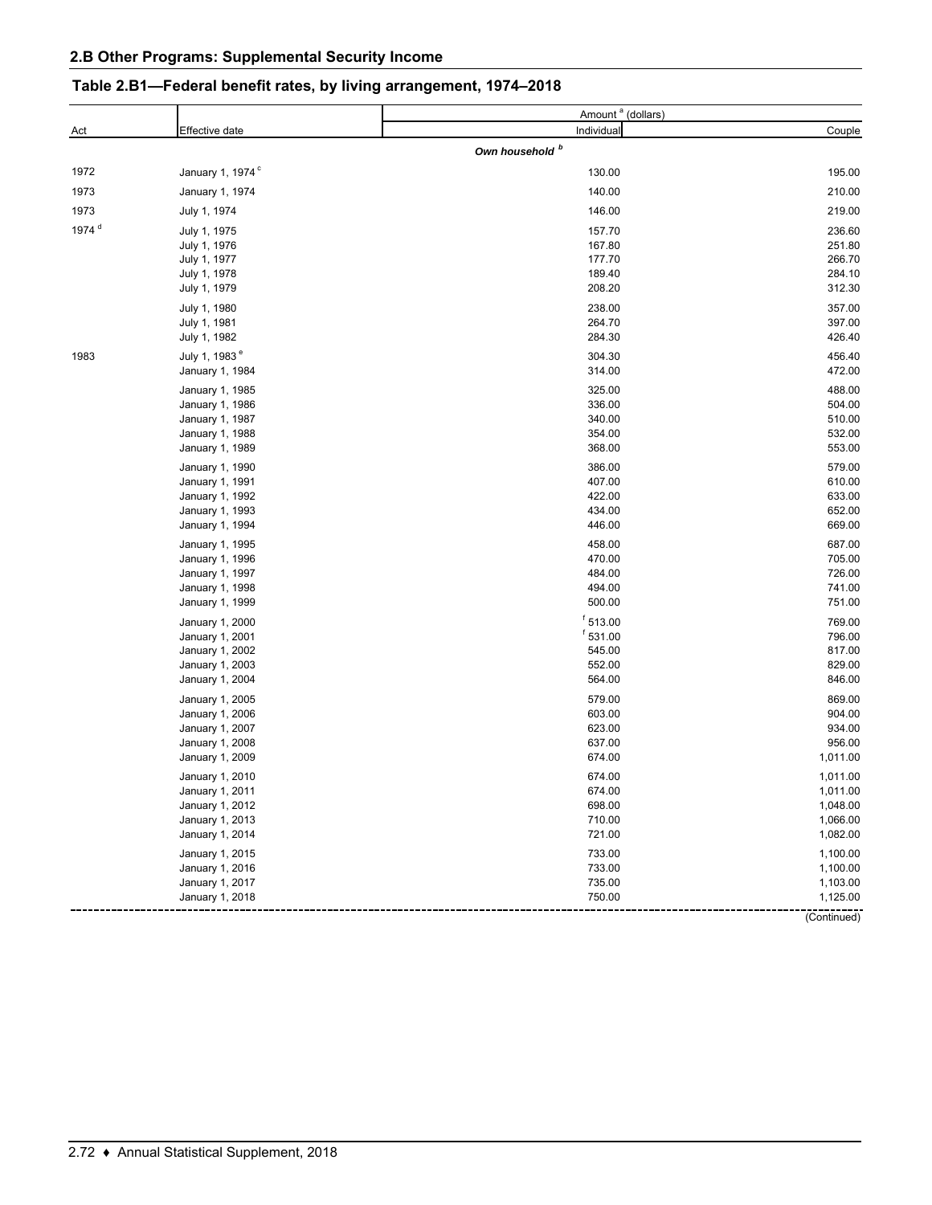## **Table 2.B1—Federal benefit rates, by living arrangement, 1974–2018**

|                   |                                    | Amount <sup>a</sup> (dollars) |                      |
|-------------------|------------------------------------|-------------------------------|----------------------|
| Act               | Effective date                     | Individual                    | Couple               |
|                   |                                    | Own household b               |                      |
| 1972              | January 1, 1974 <sup>c</sup>       | 130.00                        | 195.00               |
| 1973              | January 1, 1974                    | 140.00                        | 210.00               |
| 1973              | July 1, 1974                       | 146.00                        | 219.00               |
| 1974 <sup>d</sup> | July 1, 1975                       | 157.70                        | 236.60               |
|                   | July 1, 1976                       | 167.80                        | 251.80               |
|                   | July 1, 1977                       | 177.70                        | 266.70               |
|                   | July 1, 1978                       | 189.40                        | 284.10               |
|                   | July 1, 1979                       | 208.20                        | 312.30               |
|                   | July 1, 1980                       | 238.00                        | 357.00               |
|                   | July 1, 1981                       | 264.70                        | 397.00               |
|                   | July 1, 1982                       | 284.30                        | 426.40               |
| 1983              | July 1, 1983 <sup>e</sup>          | 304.30                        | 456.40               |
|                   | January 1, 1984                    | 314.00                        | 472.00               |
|                   | January 1, 1985                    | 325.00                        | 488.00               |
|                   | January 1, 1986                    | 336.00                        | 504.00               |
|                   | January 1, 1987                    | 340.00                        | 510.00               |
|                   | January 1, 1988                    | 354.00                        | 532.00               |
|                   | January 1, 1989                    | 368.00                        | 553.00               |
|                   | January 1, 1990                    | 386.00                        | 579.00               |
|                   | January 1, 1991                    | 407.00                        | 610.00               |
|                   | January 1, 1992                    | 422.00<br>434.00              | 633.00<br>652.00     |
|                   | January 1, 1993<br>January 1, 1994 | 446.00                        | 669.00               |
|                   | January 1, 1995                    | 458.00                        | 687.00               |
|                   | January 1, 1996                    | 470.00                        | 705.00               |
|                   | January 1, 1997                    | 484.00                        | 726.00               |
|                   | January 1, 1998                    | 494.00                        | 741.00               |
|                   | January 1, 1999                    | 500.00                        | 751.00               |
|                   | January 1, 2000                    | $f$ 513.00                    | 769.00               |
|                   | January 1, 2001                    | $f$ 531.00                    | 796.00               |
|                   | January 1, 2002                    | 545.00                        | 817.00               |
|                   | January 1, 2003                    | 552.00                        | 829.00               |
|                   | January 1, 2004                    | 564.00                        | 846.00               |
|                   | January 1, 2005                    | 579.00                        | 869.00               |
|                   | January 1, 2006                    | 603.00                        | 904.00               |
|                   | January 1, 2007                    | 623.00<br>637.00              | 934.00<br>956.00     |
|                   | January 1, 2008<br>January 1, 2009 | 674.00                        | 1,011.00             |
|                   |                                    |                               |                      |
|                   | January 1, 2010<br>January 1, 2011 | 674.00<br>674.00              | 1,011.00<br>1,011.00 |
|                   | January 1, 2012                    | 698.00                        | 1,048.00             |
|                   | January 1, 2013                    | 710.00                        | 1,066.00             |
|                   | January 1, 2014                    | 721.00                        | 1,082.00             |
|                   | January 1, 2015                    | 733.00                        | 1,100.00             |
|                   | January 1, 2016                    | 733.00                        | 1,100.00             |
|                   | January 1, 2017                    | 735.00                        | 1,103.00             |
|                   | January 1, 2018                    | 750.00                        | 1,125.00             |
|                   |                                    |                               | (Continued)          |